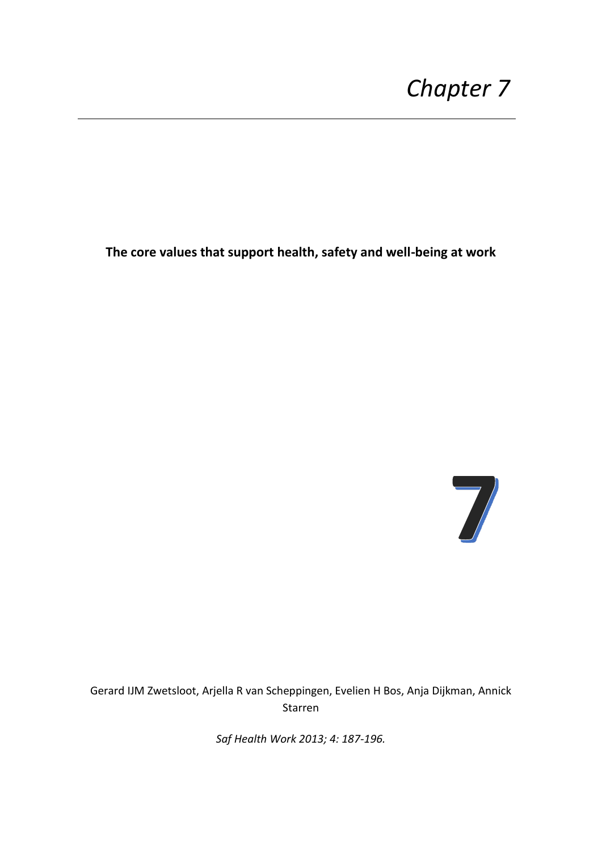**The core values that support health, safety and well-being at work**



Gerard IJM Zwetsloot, Arjella R van Scheppingen, Evelien H Bos, Anja Dijkman, Annick Starren

*Saf Health Work 2013; 4: 187-196.*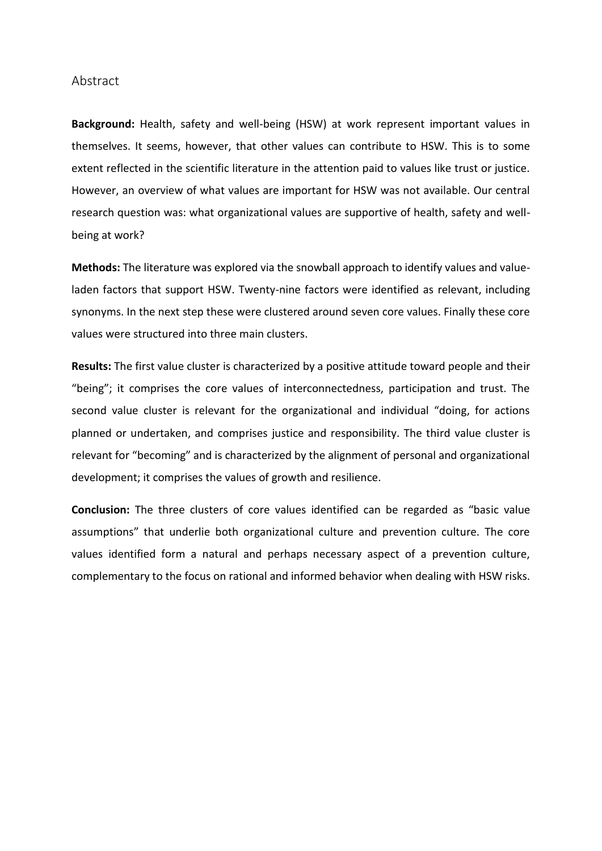# Abstract

**Background:** Health, safety and well-being (HSW) at work represent important values in themselves. It seems, however, that other values can contribute to HSW. This is to some extent reflected in the scientific literature in the attention paid to values like trust or justice. However, an overview of what values are important for HSW was not available. Our central research question was: what organizational values are supportive of health, safety and wellbeing at work?

**Methods:** The literature was explored via the snowball approach to identify values and valueladen factors that support HSW. Twenty-nine factors were identified as relevant, including synonyms. In the next step these were clustered around seven core values. Finally these core values were structured into three main clusters.

**Results:** The first value cluster is characterized by a positive attitude toward people and their "being"; it comprises the core values of interconnectedness, participation and trust. The second value cluster is relevant for the organizational and individual "doing, for actions planned or undertaken, and comprises justice and responsibility. The third value cluster is relevant for "becoming" and is characterized by the alignment of personal and organizational development; it comprises the values of growth and resilience.

**Conclusion:** The three clusters of core values identified can be regarded as "basic value assumptions" that underlie both organizational culture and prevention culture. The core values identified form a natural and perhaps necessary aspect of a prevention culture, complementary to the focus on rational and informed behavior when dealing with HSW risks.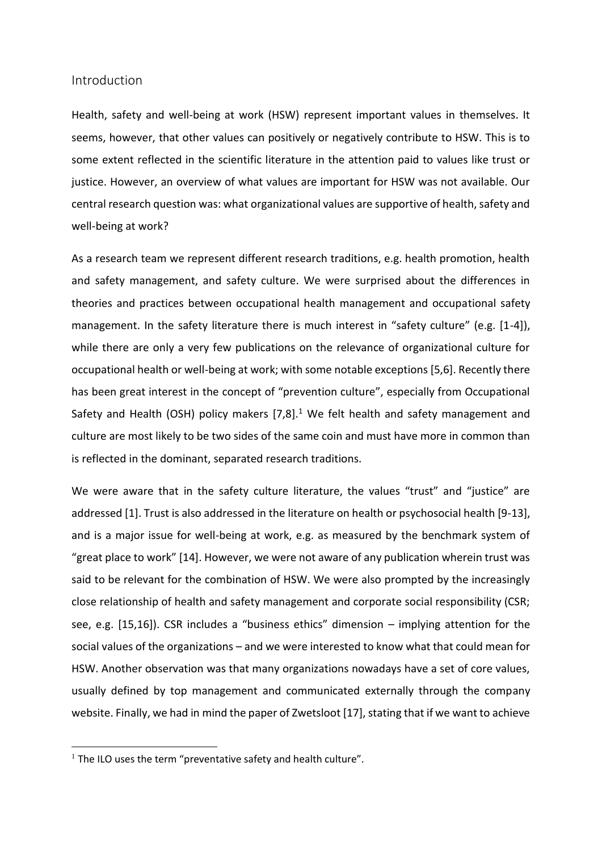# Introduction

Health, safety and well-being at work (HSW) represent important values in themselves. It seems, however, that other values can positively or negatively contribute to HSW. This is to some extent reflected in the scientific literature in the attention paid to values like trust or justice. However, an overview of what values are important for HSW was not available. Our central research question was: what organizational values are supportive of health, safety and well-being at work?

As a research team we represent different research traditions, e.g. health promotion, health and safety management, and safety culture. We were surprised about the differences in theories and practices between occupational health management and occupational safety management. In the safety literature there is much interest in "safety culture" (e.g. [1-4]), while there are only a very few publications on the relevance of organizational culture for occupational health or well-being at work; with some notable exceptions [5,6]. Recently there has been great interest in the concept of "prevention culture", especially from Occupational Safety and Health (OSH) policy makers  $[7,8]$ .<sup>1</sup> We felt health and safety management and culture are most likely to be two sides of the same coin and must have more in common than is reflected in the dominant, separated research traditions.

We were aware that in the safety culture literature, the values "trust" and "justice" are addressed [1]. Trust is also addressed in the literature on health or psychosocial health [9-13], and is a major issue for well-being at work, e.g. as measured by the benchmark system of "great place to work" [14]. However, we were not aware of any publication wherein trust was said to be relevant for the combination of HSW. We were also prompted by the increasingly close relationship of health and safety management and corporate social responsibility (CSR; see, e.g. [15,16]). CSR includes a "business ethics" dimension – implying attention for the social values of the organizations – and we were interested to know what that could mean for HSW. Another observation was that many organizations nowadays have a set of core values, usually defined by top management and communicated externally through the company website. Finally, we had in mind the paper of Zwetsloot [17], stating that if we want to achieve

**.** 

 $1$  The ILO uses the term "preventative safety and health culture".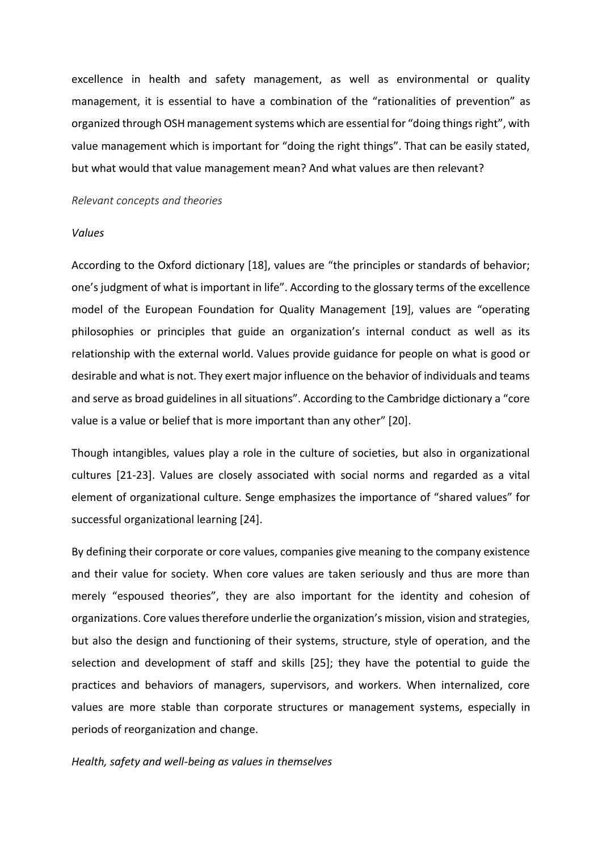excellence in health and safety management, as well as environmental or quality management, it is essential to have a combination of the "rationalities of prevention" as organized through OSH management systems which are essential for "doing things right", with value management which is important for "doing the right things". That can be easily stated, but what would that value management mean? And what values are then relevant?

#### *Relevant concepts and theories*

#### *Values*

According to the Oxford dictionary [18], values are "the principles or standards of behavior; one's judgment of what is important in life". According to the glossary terms of the excellence model of the European Foundation for Quality Management [19], values are "operating philosophies or principles that guide an organization's internal conduct as well as its relationship with the external world. Values provide guidance for people on what is good or desirable and what is not. They exert major influence on the behavior of individuals and teams and serve as broad guidelines in all situations". According to the Cambridge dictionary a "core value is a value or belief that is more important than any other" [20].

Though intangibles, values play a role in the culture of societies, but also in organizational cultures [21-23]. Values are closely associated with social norms and regarded as a vital element of organizational culture. Senge emphasizes the importance of "shared values" for successful organizational learning [24].

By defining their corporate or core values, companies give meaning to the company existence and their value for society. When core values are taken seriously and thus are more than merely "espoused theories", they are also important for the identity and cohesion of organizations. Core values therefore underlie the organization's mission, vision and strategies, but also the design and functioning of their systems, structure, style of operation, and the selection and development of staff and skills [25]; they have the potential to guide the practices and behaviors of managers, supervisors, and workers. When internalized, core values are more stable than corporate structures or management systems, especially in periods of reorganization and change.

*Health, safety and well-being as values in themselves*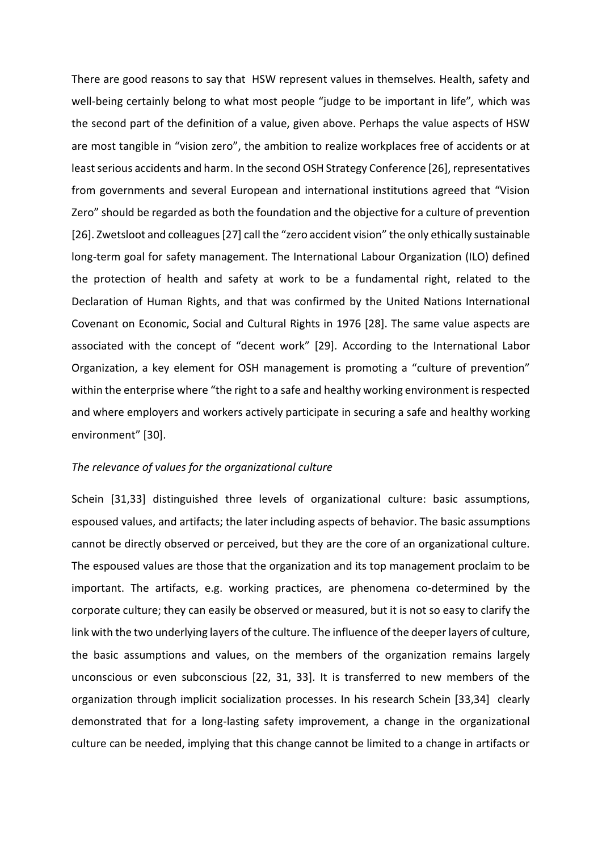There are good reasons to say that HSW represent values in themselves. Health, safety and well-being certainly belong to what most people "judge to be important in life"*,* which was the second part of the definition of a value, given above. Perhaps the value aspects of HSW are most tangible in "vision zero", the ambition to realize workplaces free of accidents or at least serious accidents and harm. In the second OSH Strategy Conference [26], representatives from governments and several European and international institutions agreed that "Vision Zero" should be regarded as both the foundation and the objective for a culture of prevention [26]. Zwetsloot and colleagues [27] call the "zero accident vision" the only ethically sustainable long-term goal for safety management. The International Labour Organization (ILO) defined the protection of health and safety at work to be a fundamental right, related to the Declaration of Human Rights, and that was confirmed by the United Nations International Covenant on Economic, Social and Cultural Rights in 1976 [28]. The same value aspects are associated with the concept of "decent work" [29]*.* According to the International Labor Organization, a key element for OSH management is promoting a "culture of prevention" within the enterprise where "the right to a safe and healthy working environment is respected and where employers and workers actively participate in securing a safe and healthy working environment" [30].

### *The relevance of values for the organizational culture*

Schein [31,33] distinguished three levels of organizational culture: basic assumptions, espoused values, and artifacts; the later including aspects of behavior. The basic assumptions cannot be directly observed or perceived, but they are the core of an organizational culture. The espoused values are those that the organization and its top management proclaim to be important. The artifacts, e.g. working practices, are phenomena co-determined by the corporate culture; they can easily be observed or measured, but it is not so easy to clarify the link with the two underlying layers of the culture. The influence of the deeper layers of culture, the basic assumptions and values, on the members of the organization remains largely unconscious or even subconscious [22, 31, 33]. It is transferred to new members of the organization through implicit socialization processes. In his research Schein [33,34] clearly demonstrated that for a long-lasting safety improvement, a change in the organizational culture can be needed, implying that this change cannot be limited to a change in artifacts or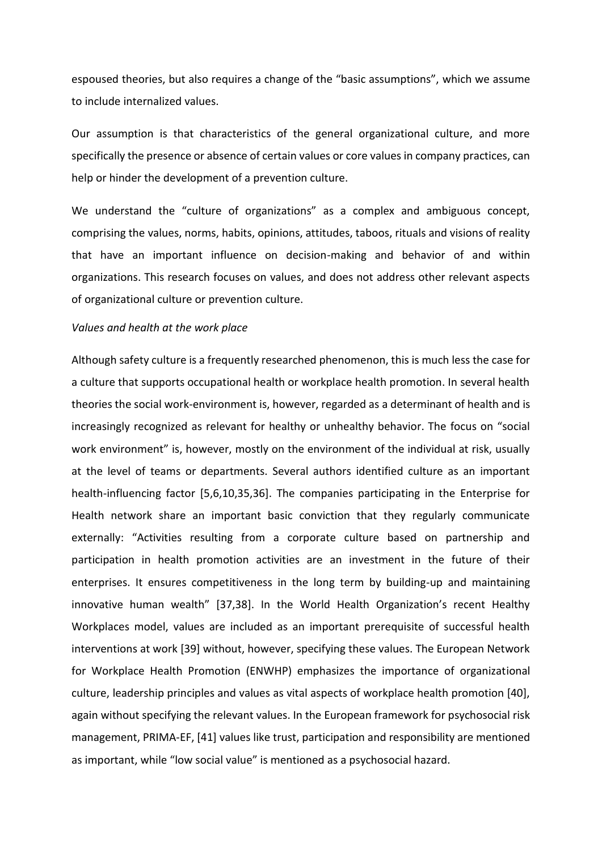espoused theories, but also requires a change of the "basic assumptions", which we assume to include internalized values.

Our assumption is that characteristics of the general organizational culture, and more specifically the presence or absence of certain values or core values in company practices, can help or hinder the development of a prevention culture.

We understand the "culture of organizations" as a complex and ambiguous concept, comprising the values, norms, habits, opinions, attitudes, taboos, rituals and visions of reality that have an important influence on decision-making and behavior of and within organizations. This research focuses on values, and does not address other relevant aspects of organizational culture or prevention culture.

### *Values and health at the work place*

Although safety culture is a frequently researched phenomenon, this is much less the case for a culture that supports occupational health or workplace health promotion. In several health theories the social work-environment is, however, regarded as a determinant of health and is increasingly recognized as relevant for healthy or unhealthy behavior. The focus on "social work environment" is, however, mostly on the environment of the individual at risk, usually at the level of teams or departments. Several authors identified culture as an important health-influencing factor [5,6,10,35,36]. The companies participating in the Enterprise for Health network share an important basic conviction that they regularly communicate externally: "Activities resulting from a corporate culture based on partnership and participation in health promotion activities are an investment in the future of their enterprises. It ensures competitiveness in the long term by building-up and maintaining innovative human wealth" [37,38]. In the World Health Organization's recent Healthy Workplaces model, values are included as an important prerequisite of successful health interventions at work [39] without, however, specifying these values. The European Network for Workplace Health Promotion (ENWHP) emphasizes the importance of organizational culture, leadership principles and values as vital aspects of workplace health promotion [40], again without specifying the relevant values. In the European framework for psychosocial risk management, PRIMA-EF, [41] values like trust, participation and responsibility are mentioned as important, while "low social value" is mentioned as a psychosocial hazard.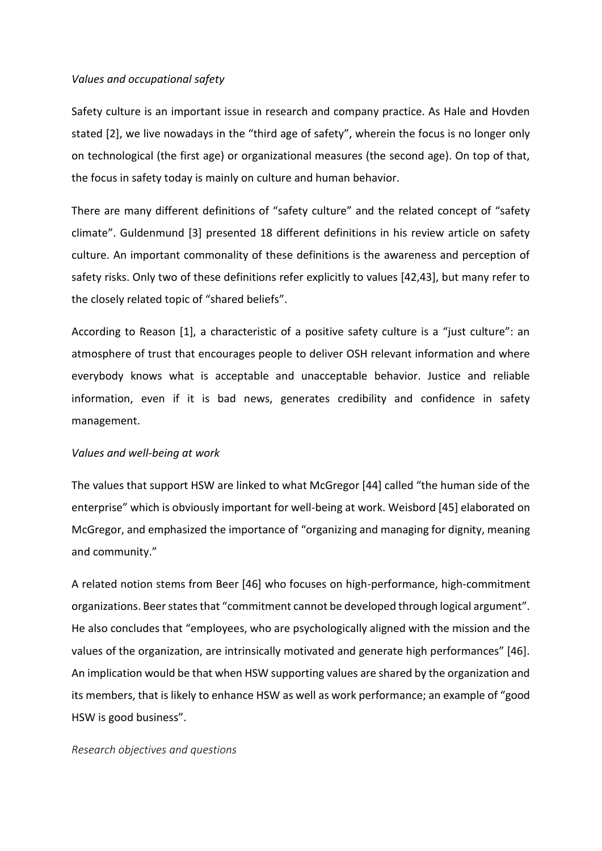# *Values and occupational safety*

Safety culture is an important issue in research and company practice. As Hale and Hovden stated [2], we live nowadays in the "third age of safety", wherein the focus is no longer only on technological (the first age) or organizational measures (the second age). On top of that, the focus in safety today is mainly on culture and human behavior.

There are many different definitions of "safety culture" and the related concept of "safety climate". Guldenmund [3] presented 18 different definitions in his review article on safety culture. An important commonality of these definitions is the awareness and perception of safety risks. Only two of these definitions refer explicitly to values [42,43], but many refer to the closely related topic of "shared beliefs".

According to Reason [1], a characteristic of a positive safety culture is a "just culture": an atmosphere of trust that encourages people to deliver OSH relevant information and where everybody knows what is acceptable and unacceptable behavior. Justice and reliable information, even if it is bad news, generates credibility and confidence in safety management.

# *Values and well-being at work*

The values that support HSW are linked to what McGregor [44] called "the human side of the enterprise" which is obviously important for well-being at work. Weisbord [45] elaborated on McGregor, and emphasized the importance of "organizing and managing for dignity, meaning and community."

A related notion stems from Beer [46] who focuses on high-performance, high-commitment organizations. Beer states that "commitment cannot be developed through logical argument". He also concludes that "employees, who are psychologically aligned with the mission and the values of the organization, are intrinsically motivated and generate high performances" [46]. An implication would be that when HSW supporting values are shared by the organization and its members, that is likely to enhance HSW as well as work performance; an example of "good HSW is good business".

# *Research objectives and questions*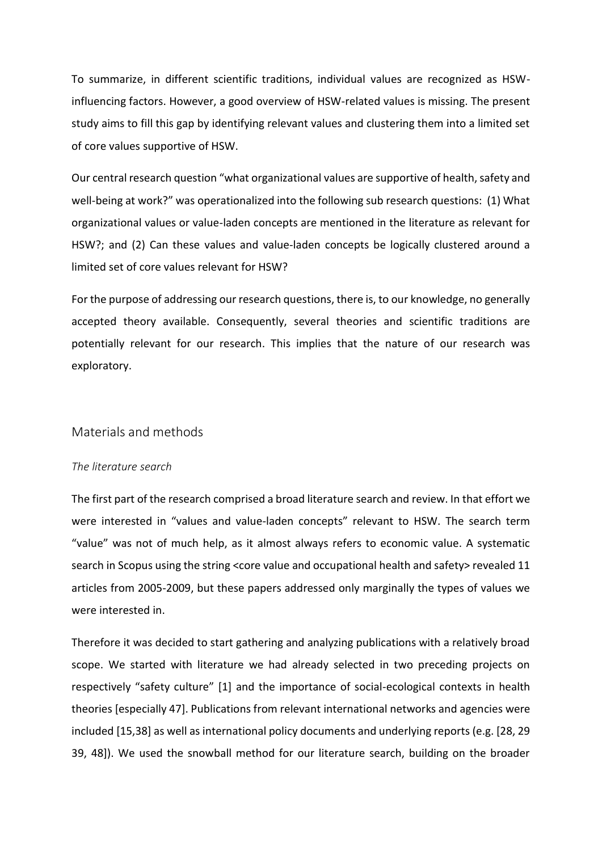To summarize, in different scientific traditions, individual values are recognized as HSWinfluencing factors. However, a good overview of HSW-related values is missing. The present study aims to fill this gap by identifying relevant values and clustering them into a limited set of core values supportive of HSW.

Our central research question "what organizational values are supportive of health, safety and well-being at work?" was operationalized into the following sub research questions: (1) What organizational values or value-laden concepts are mentioned in the literature as relevant for HSW?; and (2) Can these values and value-laden concepts be logically clustered around a limited set of core values relevant for HSW?

For the purpose of addressing our research questions, there is, to our knowledge, no generally accepted theory available. Consequently, several theories and scientific traditions are potentially relevant for our research. This implies that the nature of our research was exploratory.

# Materials and methods

# *The literature search*

The first part of the research comprised a broad literature search and review. In that effort we were interested in "values and value-laden concepts" relevant to HSW. The search term "value" was not of much help, as it almost always refers to economic value. A systematic search in Scopus using the string <core value and occupational health and safety> revealed 11 articles from 2005-2009, but these papers addressed only marginally the types of values we were interested in.

Therefore it was decided to start gathering and analyzing publications with a relatively broad scope. We started with literature we had already selected in two preceding projects on respectively "safety culture" [1] and the importance of social-ecological contexts in health theories [especially 47]. Publications from relevant international networks and agencies were included [15,38] as well as international policy documents and underlying reports (e.g. [28, 29 39, 48]). We used the snowball method for our literature search, building on the broader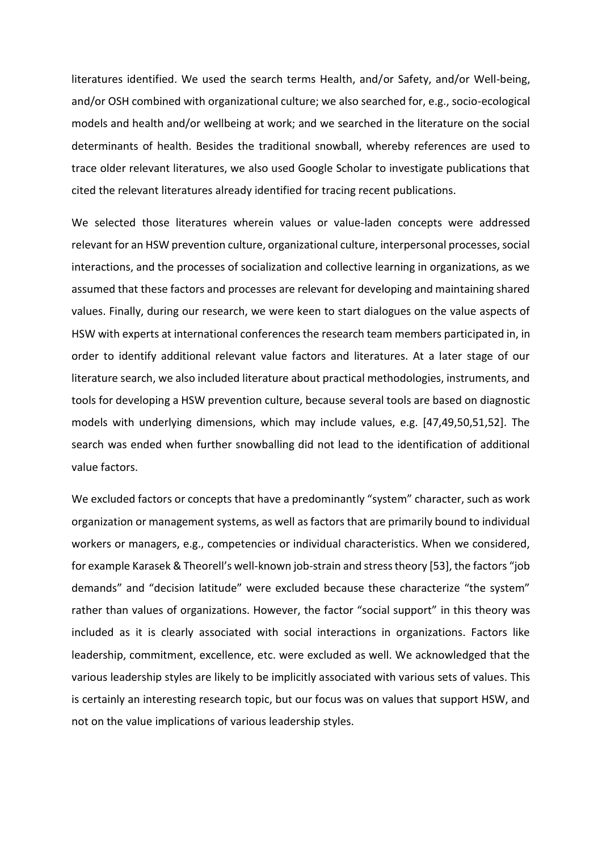literatures identified. We used the search terms Health, and/or Safety, and/or Well-being, and/or OSH combined with organizational culture; we also searched for, e.g., socio-ecological models and health and/or wellbeing at work; and we searched in the literature on the social determinants of health. Besides the traditional snowball, whereby references are used to trace older relevant literatures, we also used Google Scholar to investigate publications that cited the relevant literatures already identified for tracing recent publications.

We selected those literatures wherein values or value-laden concepts were addressed relevant for an HSW prevention culture, organizational culture, interpersonal processes, social interactions, and the processes of socialization and collective learning in organizations, as we assumed that these factors and processes are relevant for developing and maintaining shared values. Finally, during our research, we were keen to start dialogues on the value aspects of HSW with experts at international conferences the research team members participated in, in order to identify additional relevant value factors and literatures. At a later stage of our literature search, we also included literature about practical methodologies, instruments, and tools for developing a HSW prevention culture, because several tools are based on diagnostic models with underlying dimensions, which may include values, e.g. [47,49,50,51,52]. The search was ended when further snowballing did not lead to the identification of additional value factors.

We excluded factors or concepts that have a predominantly "system" character, such as work organization or management systems, as well as factors that are primarily bound to individual workers or managers, e.g., competencies or individual characteristics. When we considered, for example Karasek & Theorell's well-known job-strain and stress theory [53], the factors "job demands" and "decision latitude" were excluded because these characterize "the system" rather than values of organizations. However, the factor "social support" in this theory was included as it is clearly associated with social interactions in organizations. Factors like leadership, commitment, excellence, etc. were excluded as well. We acknowledged that the various leadership styles are likely to be implicitly associated with various sets of values. This is certainly an interesting research topic, but our focus was on values that support HSW, and not on the value implications of various leadership styles.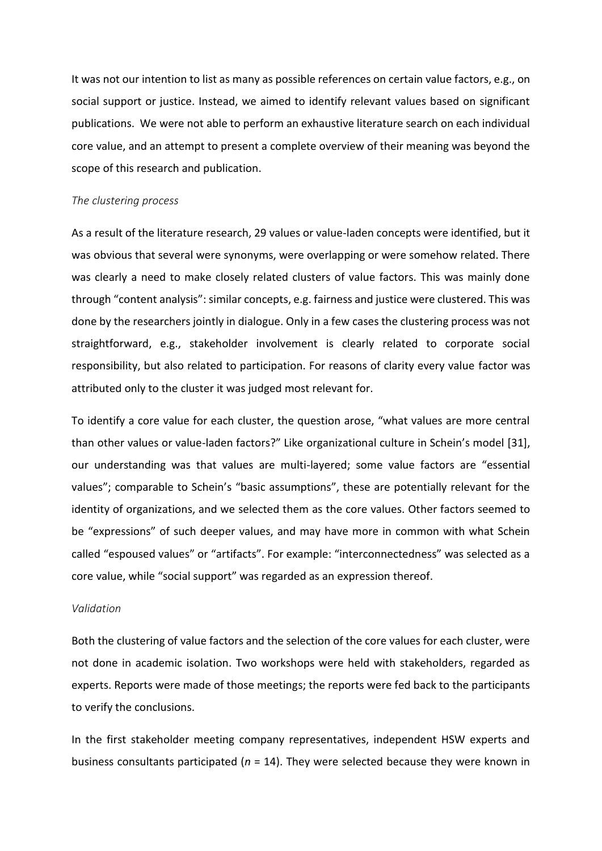It was not our intention to list as many as possible references on certain value factors, e.g., on social support or justice. Instead, we aimed to identify relevant values based on significant publications. We were not able to perform an exhaustive literature search on each individual core value, and an attempt to present a complete overview of their meaning was beyond the scope of this research and publication.

# *The clustering process*

As a result of the literature research, 29 values or value-laden concepts were identified, but it was obvious that several were synonyms, were overlapping or were somehow related. There was clearly a need to make closely related clusters of value factors. This was mainly done through "content analysis": similar concepts, e.g. fairness and justice were clustered. This was done by the researchers jointly in dialogue. Only in a few cases the clustering process was not straightforward, e.g., stakeholder involvement is clearly related to corporate social responsibility, but also related to participation. For reasons of clarity every value factor was attributed only to the cluster it was judged most relevant for.

To identify a core value for each cluster, the question arose, "what values are more central than other values or value-laden factors?" Like organizational culture in Schein's model [31], our understanding was that values are multi-layered; some value factors are "essential values"; comparable to Schein's "basic assumptions", these are potentially relevant for the identity of organizations, and we selected them as the core values. Other factors seemed to be "expressions" of such deeper values, and may have more in common with what Schein called "espoused values" or "artifacts". For example: "interconnectedness" was selected as a core value, while "social support" was regarded as an expression thereof.

# *Validation*

Both the clustering of value factors and the selection of the core values for each cluster, were not done in academic isolation. Two workshops were held with stakeholders, regarded as experts. Reports were made of those meetings; the reports were fed back to the participants to verify the conclusions.

In the first stakeholder meeting company representatives, independent HSW experts and business consultants participated (*n* = 14). They were selected because they were known in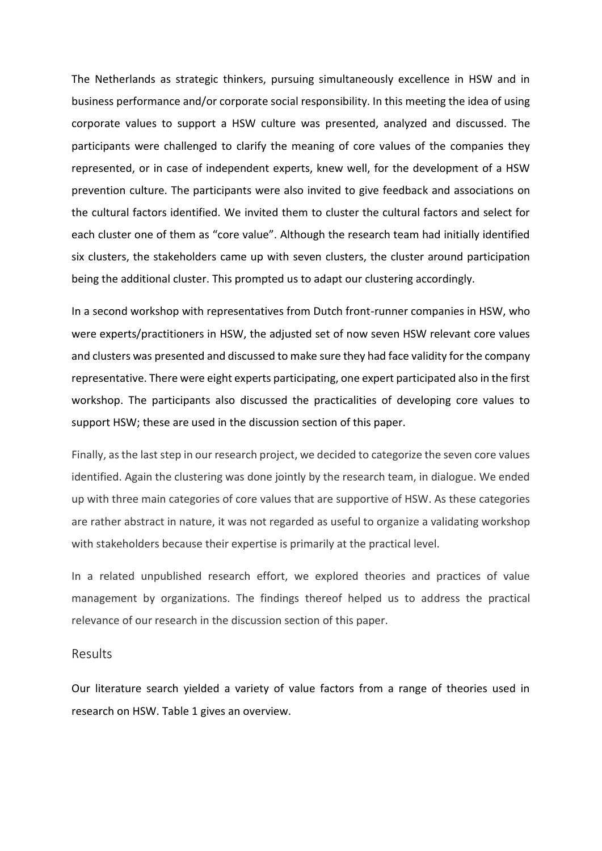The Netherlands as strategic thinkers, pursuing simultaneously excellence in HSW and in business performance and/or corporate social responsibility. In this meeting the idea of using corporate values to support a HSW culture was presented, analyzed and discussed. The participants were challenged to clarify the meaning of core values of the companies they represented, or in case of independent experts, knew well, for the development of a HSW prevention culture. The participants were also invited to give feedback and associations on the cultural factors identified. We invited them to cluster the cultural factors and select for each cluster one of them as "core value". Although the research team had initially identified six clusters, the stakeholders came up with seven clusters, the cluster around participation being the additional cluster. This prompted us to adapt our clustering accordingly.

In a second workshop with representatives from Dutch front-runner companies in HSW, who were experts/practitioners in HSW, the adjusted set of now seven HSW relevant core values and clusters was presented and discussed to make sure they had face validity for the company representative. There were eight experts participating, one expert participated also in the first workshop. The participants also discussed the practicalities of developing core values to support HSW; these are used in the discussion section of this paper.

Finally, as the last step in our research project, we decided to categorize the seven core values identified. Again the clustering was done jointly by the research team, in dialogue. We ended up with three main categories of core values that are supportive of HSW. As these categories are rather abstract in nature, it was not regarded as useful to organize a validating workshop with stakeholders because their expertise is primarily at the practical level.

In a related unpublished research effort, we explored theories and practices of value management by organizations. The findings thereof helped us to address the practical relevance of our research in the discussion section of this paper.

# Results

Our literature search yielded a variety of value factors from a range of theories used in research on HSW. Table 1 gives an overview.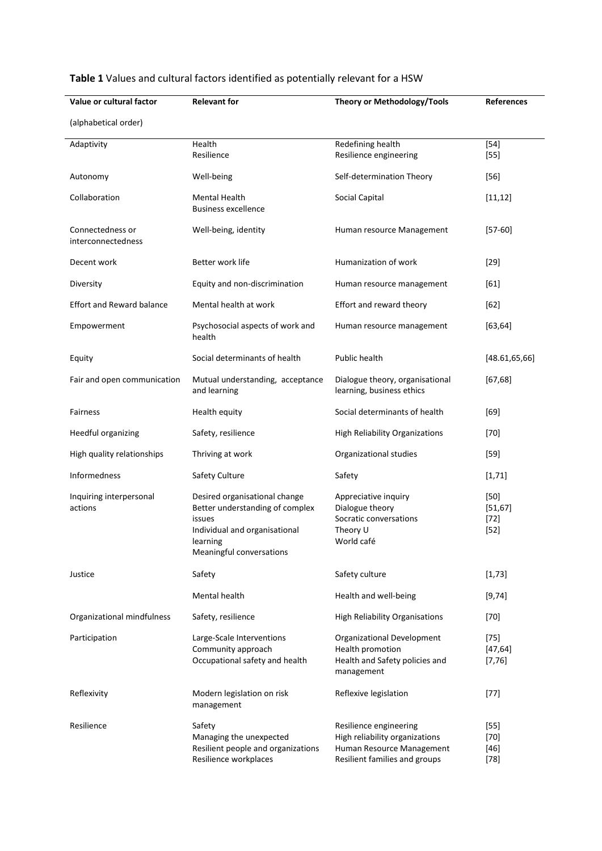| Value or cultural factor               | <b>Relevant for</b>                                                                                                                                 | Theory or Methodology/Tools                                                                                            | <b>References</b>                      |
|----------------------------------------|-----------------------------------------------------------------------------------------------------------------------------------------------------|------------------------------------------------------------------------------------------------------------------------|----------------------------------------|
| (alphabetical order)                   |                                                                                                                                                     |                                                                                                                        |                                        |
| Adaptivity                             | Health<br>Resilience                                                                                                                                | Redefining health<br>Resilience engineering                                                                            | $[54]$<br>$[55]$                       |
| Autonomy                               | Well-being                                                                                                                                          | Self-determination Theory                                                                                              | $[56]$                                 |
| Collaboration                          | <b>Mental Health</b><br><b>Business excellence</b>                                                                                                  | Social Capital                                                                                                         | [11, 12]                               |
| Connectedness or<br>interconnectedness | Well-being, identity                                                                                                                                | Human resource Management                                                                                              | $[57-60]$                              |
| Decent work                            | Better work life                                                                                                                                    | Humanization of work                                                                                                   | $[29]$                                 |
| Diversity                              | Equity and non-discrimination                                                                                                                       | Human resource management                                                                                              | $[61]$                                 |
| <b>Effort and Reward balance</b>       | Mental health at work                                                                                                                               | Effort and reward theory                                                                                               | [62]                                   |
| Empowerment                            | Psychosocial aspects of work and<br>health                                                                                                          | Human resource management                                                                                              | [63, 64]                               |
| Equity                                 | Social determinants of health                                                                                                                       | Public health                                                                                                          | [48.61, 65, 66]                        |
| Fair and open communication            | Mutual understanding, acceptance<br>and learning                                                                                                    | Dialogue theory, organisational<br>learning, business ethics                                                           | [67, 68]                               |
| Fairness                               | Health equity                                                                                                                                       | Social determinants of health                                                                                          | [69]                                   |
| Heedful organizing                     | Safety, resilience                                                                                                                                  | <b>High Reliability Organizations</b>                                                                                  | $[70]$                                 |
| High quality relationships             | Thriving at work                                                                                                                                    | Organizational studies                                                                                                 | $[59]$                                 |
| Informedness                           | Safety Culture                                                                                                                                      | Safety                                                                                                                 | [1, 71]                                |
| Inquiring interpersonal<br>actions     | Desired organisational change<br>Better understanding of complex<br>issues<br>Individual and organisational<br>learning<br>Meaningful conversations | Appreciative inquiry<br>Dialogue theory<br>Socratic conversations<br>Theory U<br>World café                            | $[50]$<br>[51, 67]<br>$[72]$<br>$[52]$ |
| Justice                                | Safety                                                                                                                                              | Safety culture                                                                                                         | [1, 73]                                |
|                                        | Mental health                                                                                                                                       | Health and well-being                                                                                                  | [9, 74]                                |
| Organizational mindfulness             | Safety, resilience                                                                                                                                  | <b>High Reliability Organisations</b>                                                                                  | $[70]$                                 |
| Participation                          | Large-Scale Interventions<br>Community approach<br>Occupational safety and health                                                                   | Organizational Development<br>Health promotion<br>Health and Safety policies and<br>management                         | $[75]$<br>[47, 64]<br>[7, 76]          |
| Reflexivity                            | Modern legislation on risk<br>management                                                                                                            | Reflexive legislation                                                                                                  | $[77]$                                 |
| Resilience                             | Safety<br>Managing the unexpected<br>Resilient people and organizations<br>Resilience workplaces                                                    | Resilience engineering<br>High reliability organizations<br>Human Resource Management<br>Resilient families and groups | $[55]$<br>$[70]$<br>$[46]$<br>$[78]$   |

# **Table 1** Values and cultural factors identified as potentially relevant for a HSW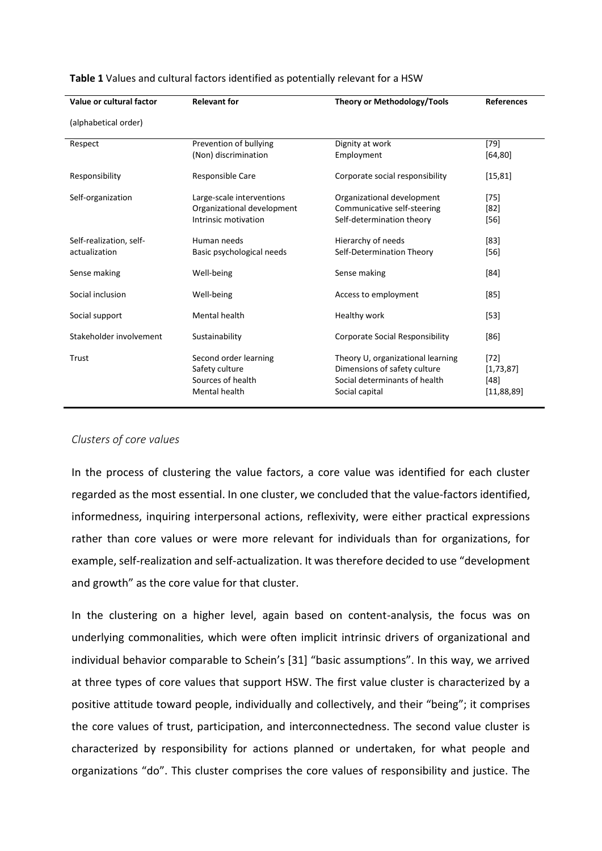| Value or cultural factor | <b>Relevant for</b>                                                           | Theory or Methodology/Tools                                                                                          | <b>References</b>                             |
|--------------------------|-------------------------------------------------------------------------------|----------------------------------------------------------------------------------------------------------------------|-----------------------------------------------|
| (alphabetical order)     |                                                                               |                                                                                                                      |                                               |
| Respect                  | Prevention of bullying                                                        | Dignity at work                                                                                                      | $[79]$                                        |
|                          | (Non) discrimination                                                          | Employment                                                                                                           | [64, 80]                                      |
| Responsibility           | Responsible Care                                                              | Corporate social responsibility                                                                                      | [15, 81]                                      |
| Self-organization        | Large-scale interventions                                                     | Organizational development                                                                                           | $[75]$                                        |
|                          | Organizational development                                                    | Communicative self-steering                                                                                          | $[82]$                                        |
|                          | Intrinsic motivation                                                          | Self-determination theory                                                                                            | $[56]$                                        |
| Self-realization, self-  | Human needs                                                                   | Hierarchy of needs                                                                                                   | $[83]$                                        |
| actualization            | Basic psychological needs                                                     | Self-Determination Theory                                                                                            | $[56]$                                        |
| Sense making             | Well-being                                                                    | Sense making                                                                                                         | $[84]$                                        |
| Social inclusion         | Well-being                                                                    | Access to employment                                                                                                 | [85]                                          |
| Social support           | Mental health                                                                 | Healthy work                                                                                                         | $[53]$                                        |
| Stakeholder involvement  | Sustainability                                                                | <b>Corporate Social Responsibility</b>                                                                               | [86]                                          |
| Trust                    | Second order learning<br>Safety culture<br>Sources of health<br>Mental health | Theory U, organizational learning<br>Dimensions of safety culture<br>Social determinants of health<br>Social capital | $[72]$<br>[1, 73, 87]<br>$[48]$<br>[11,88,89] |

### **Table 1** Values and cultural factors identified as potentially relevant for a HSW

# *Clusters of core values*

In the process of clustering the value factors, a core value was identified for each cluster regarded as the most essential. In one cluster, we concluded that the value-factors identified, informedness, inquiring interpersonal actions, reflexivity, were either practical expressions rather than core values or were more relevant for individuals than for organizations, for example, self-realization and self-actualization. It was therefore decided to use "development and growth" as the core value for that cluster.

In the clustering on a higher level, again based on content-analysis, the focus was on underlying commonalities, which were often implicit intrinsic drivers of organizational and individual behavior comparable to Schein's [31] "basic assumptions". In this way, we arrived at three types of core values that support HSW. The first value cluster is characterized by a positive attitude toward people, individually and collectively, and their "being"; it comprises the core values of trust, participation, and interconnectedness. The second value cluster is characterized by responsibility for actions planned or undertaken, for what people and organizations "do". This cluster comprises the core values of responsibility and justice. The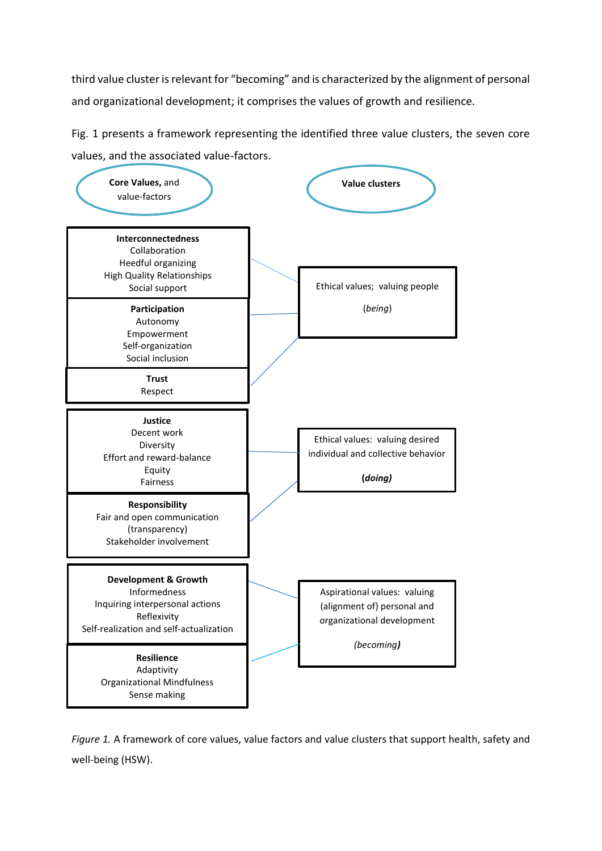third value cluster is relevant for "becoming" and is characterized by the alignment of personal and organizational development; it comprises the values of growth and resilience.

Fig. 1 presents a framework representing the identified three value clusters, the seven core values, and the associated value-factors.



*Figure 1.* A framework of core values, value factors and value clusters that support health, safety and well-being (HSW).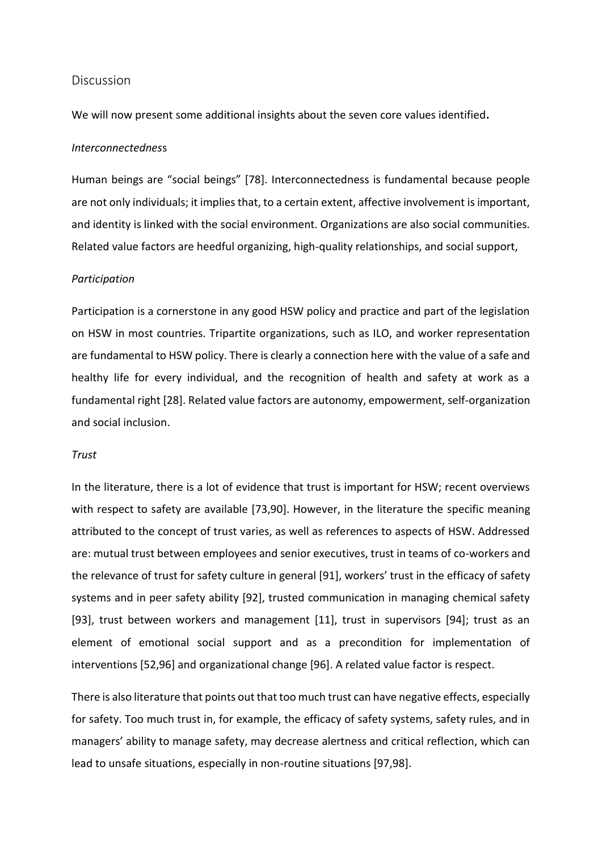# **Discussion**

We will now present some additional insights about the seven core values identified**.**

### *Interconnectednes*s

Human beings are "social beings" [78]. Interconnectedness is fundamental because people are not only individuals; it implies that, to a certain extent, affective involvement is important, and identity is linked with the social environment. Organizations are also social communities. Related value factors are heedful organizing, high-quality relationships, and social support,

### *Participation*

Participation is a cornerstone in any good HSW policy and practice and part of the legislation on HSW in most countries. Tripartite organizations, such as ILO, and worker representation are fundamental to HSW policy. There is clearly a connection here with the value of a safe and healthy life for every individual, and the recognition of health and safety at work as a fundamental right [28]. Related value factors are autonomy, empowerment, self-organization and social inclusion.

# *Trust*

In the literature, there is a lot of evidence that trust is important for HSW; recent overviews with respect to safety are available [73,90]. However, in the literature the specific meaning attributed to the concept of trust varies, as well as references to aspects of HSW. Addressed are: mutual trust between employees and senior executives, trust in teams of co-workers and the relevance of trust for safety culture in general [91], workers' trust in the efficacy of safety systems and in peer safety ability [92], trusted communication in managing chemical safety [93], trust between workers and management [11], trust in supervisors [94]; trust as an element of emotional social support and as a precondition for implementation of interventions [52,96] and organizational change [96]. A related value factor is respect.

There is also literature that points out that too much trust can have negative effects, especially for safety. Too much trust in, for example, the efficacy of safety systems, safety rules, and in managers' ability to manage safety, may decrease alertness and critical reflection, which can lead to unsafe situations, especially in non-routine situations [97,98].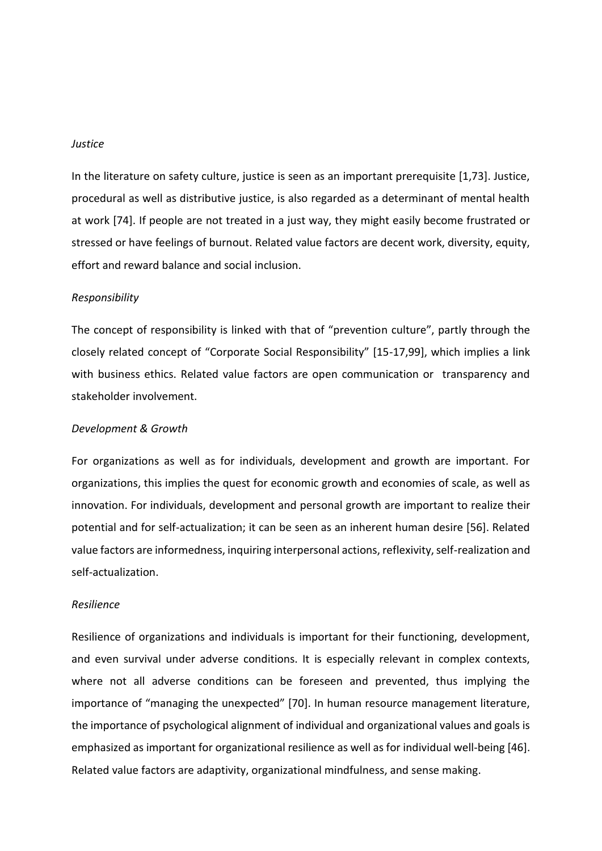### *Justice*

In the literature on safety culture, justice is seen as an important prerequisite [1,73]. Justice, procedural as well as distributive justice, is also regarded as a determinant of mental health at work [74]. If people are not treated in a just way, they might easily become frustrated or stressed or have feelings of burnout. Related value factors are decent work, diversity, equity, effort and reward balance and social inclusion.

### *Responsibility*

The concept of responsibility is linked with that of "prevention culture", partly through the closely related concept of "Corporate Social Responsibility" [15-17,99], which implies a link with business ethics. Related value factors are open communication or transparency and stakeholder involvement.

# *Development & Growth*

For organizations as well as for individuals, development and growth are important. For organizations, this implies the quest for economic growth and economies of scale, as well as innovation. For individuals, development and personal growth are important to realize their potential and for self-actualization; it can be seen as an inherent human desire [56]. Related value factors are informedness, inquiring interpersonal actions, reflexivity, self-realization and self-actualization.

# *Resilience*

Resilience of organizations and individuals is important for their functioning, development, and even survival under adverse conditions. It is especially relevant in complex contexts, where not all adverse conditions can be foreseen and prevented, thus implying the importance of "managing the unexpected" [70]. In human resource management literature, the importance of psychological alignment of individual and organizational values and goals is emphasized as important for organizational resilience as well as for individual well-being [46]. Related value factors are adaptivity, organizational mindfulness, and sense making.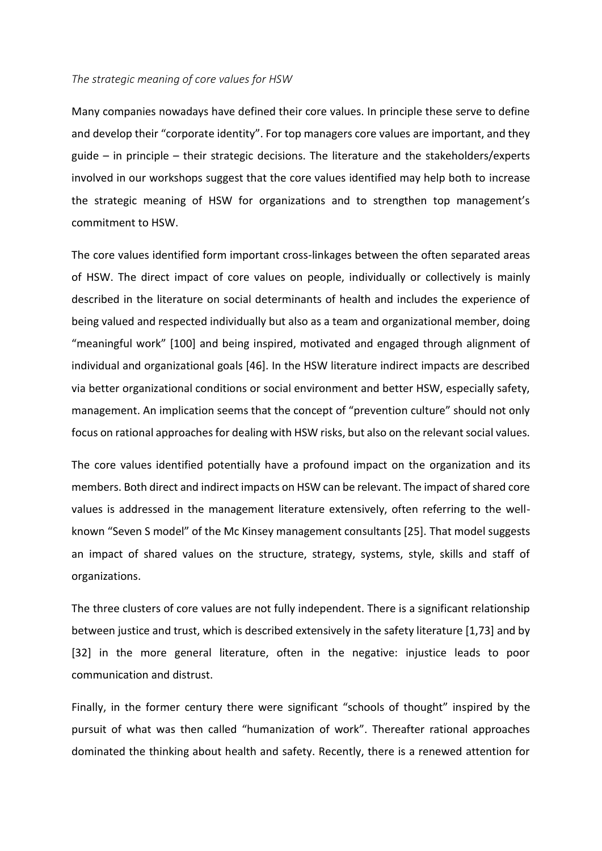### *The strategic meaning of core values for HSW*

Many companies nowadays have defined their core values. In principle these serve to define and develop their "corporate identity". For top managers core values are important, and they guide – in principle – their strategic decisions. The literature and the stakeholders/experts involved in our workshops suggest that the core values identified may help both to increase the strategic meaning of HSW for organizations and to strengthen top management's commitment to HSW.

The core values identified form important cross-linkages between the often separated areas of HSW. The direct impact of core values on people, individually or collectively is mainly described in the literature on social determinants of health and includes the experience of being valued and respected individually but also as a team and organizational member, doing "meaningful work" [100] and being inspired, motivated and engaged through alignment of individual and organizational goals [46]. In the HSW literature indirect impacts are described via better organizational conditions or social environment and better HSW, especially safety, management. An implication seems that the concept of "prevention culture" should not only focus on rational approaches for dealing with HSW risks, but also on the relevant social values.

The core values identified potentially have a profound impact on the organization and its members. Both direct and indirect impacts on HSW can be relevant. The impact of shared core values is addressed in the management literature extensively, often referring to the wellknown "Seven S model" of the Mc Kinsey management consultants [25]. That model suggests an impact of shared values on the structure, strategy, systems, style, skills and staff of organizations.

The three clusters of core values are not fully independent. There is a significant relationship between justice and trust, which is described extensively in the safety literature [1,73] and by [32] in the more general literature, often in the negative: injustice leads to poor communication and distrust.

Finally, in the former century there were significant "schools of thought" inspired by the pursuit of what was then called "humanization of work". Thereafter rational approaches dominated the thinking about health and safety. Recently, there is a renewed attention for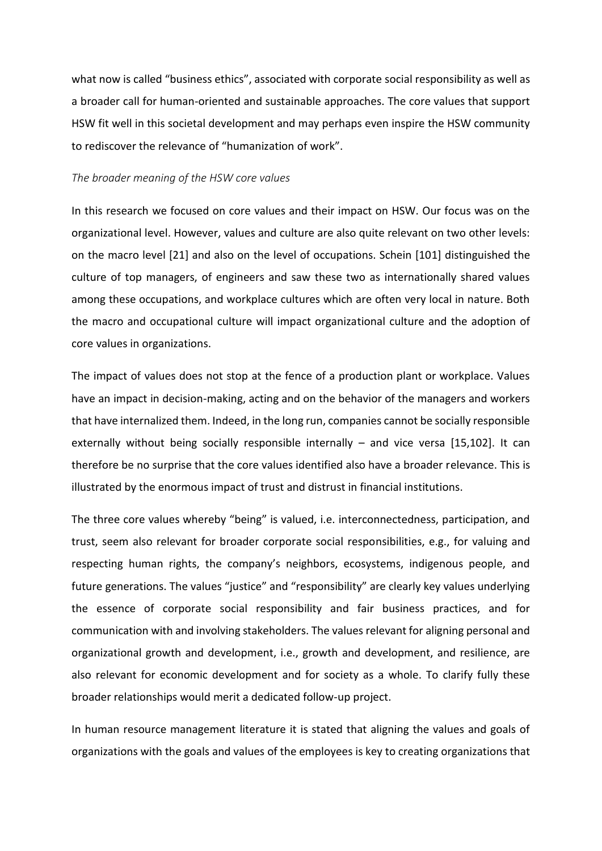what now is called "business ethics", associated with corporate social responsibility as well as a broader call for human-oriented and sustainable approaches. The core values that support HSW fit well in this societal development and may perhaps even inspire the HSW community to rediscover the relevance of "humanization of work".

### *The broader meaning of the HSW core values*

In this research we focused on core values and their impact on HSW. Our focus was on the organizational level. However, values and culture are also quite relevant on two other levels: on the macro level [21] and also on the level of occupations. Schein [101] distinguished the culture of top managers, of engineers and saw these two as internationally shared values among these occupations, and workplace cultures which are often very local in nature. Both the macro and occupational culture will impact organizational culture and the adoption of core values in organizations.

The impact of values does not stop at the fence of a production plant or workplace. Values have an impact in decision-making, acting and on the behavior of the managers and workers that have internalized them. Indeed, in the long run, companies cannot be socially responsible externally without being socially responsible internally – and vice versa [15,102]. It can therefore be no surprise that the core values identified also have a broader relevance. This is illustrated by the enormous impact of trust and distrust in financial institutions.

The three core values whereby "being" is valued, i.e. interconnectedness, participation, and trust, seem also relevant for broader corporate social responsibilities, e.g., for valuing and respecting human rights, the company's neighbors, ecosystems, indigenous people, and future generations. The values "justice" and "responsibility" are clearly key values underlying the essence of corporate social responsibility and fair business practices, and for communication with and involving stakeholders. The values relevant for aligning personal and organizational growth and development, i.e., growth and development, and resilience, are also relevant for economic development and for society as a whole. To clarify fully these broader relationships would merit a dedicated follow-up project.

In human resource management literature it is stated that aligning the values and goals of organizations with the goals and values of the employees is key to creating organizations that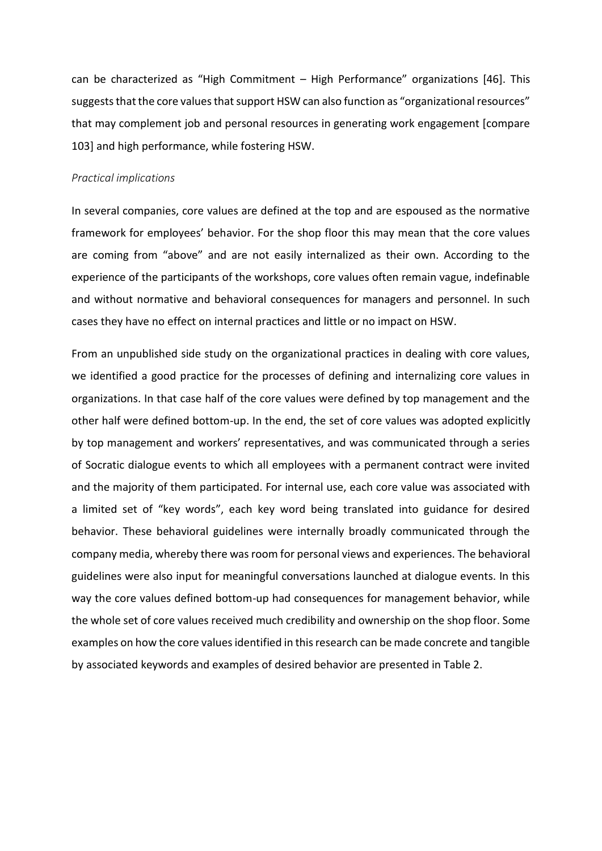can be characterized as "High Commitment – High Performance" organizations [46]. This suggests that the core values that support HSW can also function as "organizational resources" that may complement job and personal resources in generating work engagement [compare 103] and high performance, while fostering HSW.

### *Practical implications*

In several companies, core values are defined at the top and are espoused as the normative framework for employees' behavior. For the shop floor this may mean that the core values are coming from "above" and are not easily internalized as their own. According to the experience of the participants of the workshops, core values often remain vague, indefinable and without normative and behavioral consequences for managers and personnel. In such cases they have no effect on internal practices and little or no impact on HSW.

From an unpublished side study on the organizational practices in dealing with core values, we identified a good practice for the processes of defining and internalizing core values in organizations. In that case half of the core values were defined by top management and the other half were defined bottom-up. In the end, the set of core values was adopted explicitly by top management and workers' representatives, and was communicated through a series of Socratic dialogue events to which all employees with a permanent contract were invited and the majority of them participated. For internal use, each core value was associated with a limited set of "key words", each key word being translated into guidance for desired behavior. These behavioral guidelines were internally broadly communicated through the company media, whereby there was room for personal views and experiences. The behavioral guidelines were also input for meaningful conversations launched at dialogue events. In this way the core values defined bottom-up had consequences for management behavior, while the whole set of core values received much credibility and ownership on the shop floor. Some examples on how the core values identified in this research can be made concrete and tangible by associated keywords and examples of desired behavior are presented in Table 2.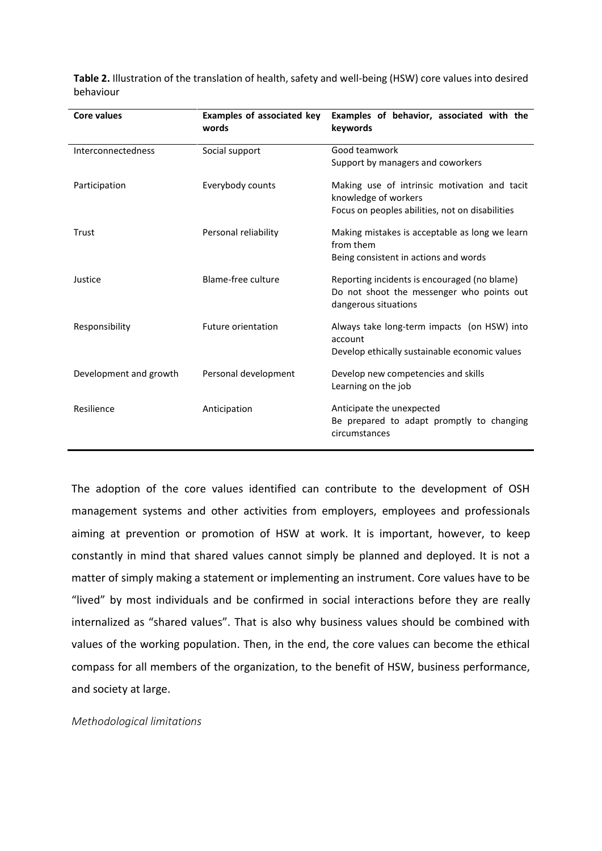| Table 2. Illustration of the translation of health, safety and well-being (HSW) core values into desired |  |
|----------------------------------------------------------------------------------------------------------|--|
| behaviour                                                                                                |  |

| <b>Core values</b>     | <b>Examples of associated key</b><br>words | Examples of behavior, associated with the<br>keywords                                                             |
|------------------------|--------------------------------------------|-------------------------------------------------------------------------------------------------------------------|
| Interconnectedness     | Social support                             | Good teamwork                                                                                                     |
|                        |                                            | Support by managers and coworkers                                                                                 |
| Participation          | Everybody counts                           | Making use of intrinsic motivation and tacit<br>knowledge of workers                                              |
|                        |                                            | Focus on peoples abilities, not on disabilities                                                                   |
| Trust                  | Personal reliability                       | Making mistakes is acceptable as long we learn<br>from them                                                       |
|                        |                                            | Being consistent in actions and words                                                                             |
| Justice                | Blame-free culture                         | Reporting incidents is encouraged (no blame)<br>Do not shoot the messenger who points out<br>dangerous situations |
|                        |                                            |                                                                                                                   |
| Responsibility         | <b>Future orientation</b>                  | Always take long-term impacts (on HSW) into<br>account                                                            |
|                        |                                            | Develop ethically sustainable economic values                                                                     |
| Development and growth | Personal development                       | Develop new competencies and skills<br>Learning on the job                                                        |
| Resilience             | Anticipation                               | Anticipate the unexpected<br>Be prepared to adapt promptly to changing                                            |
|                        |                                            | circumstances                                                                                                     |

The adoption of the core values identified can contribute to the development of OSH management systems and other activities from employers, employees and professionals aiming at prevention or promotion of HSW at work. It is important, however, to keep constantly in mind that shared values cannot simply be planned and deployed. It is not a matter of simply making a statement or implementing an instrument. Core values have to be "lived" by most individuals and be confirmed in social interactions before they are really internalized as "shared values". That is also why business values should be combined with values of the working population. Then, in the end, the core values can become the ethical compass for all members of the organization, to the benefit of HSW, business performance, and society at large.

*Methodological limitations*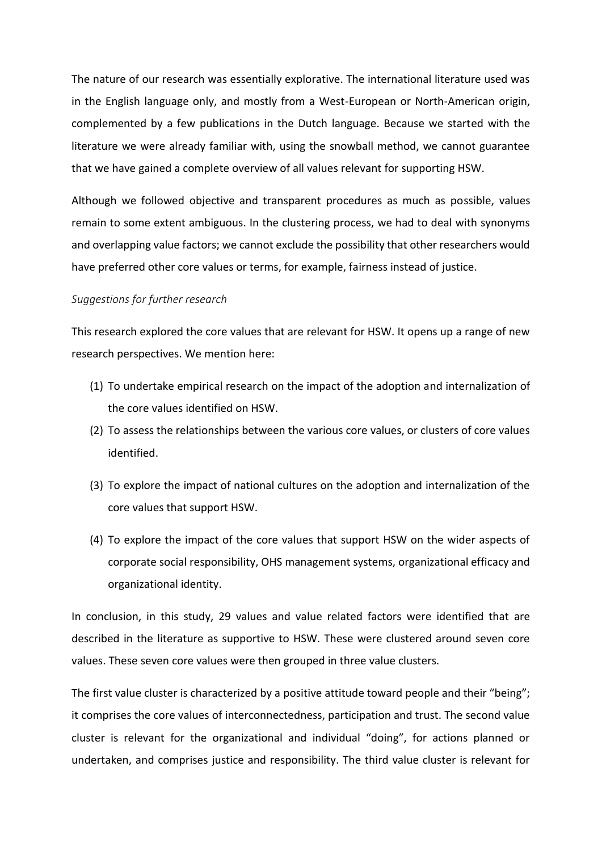The nature of our research was essentially explorative. The international literature used was in the English language only, and mostly from a West-European or North-American origin, complemented by a few publications in the Dutch language. Because we started with the literature we were already familiar with, using the snowball method, we cannot guarantee that we have gained a complete overview of all values relevant for supporting HSW.

Although we followed objective and transparent procedures as much as possible, values remain to some extent ambiguous. In the clustering process, we had to deal with synonyms and overlapping value factors; we cannot exclude the possibility that other researchers would have preferred other core values or terms, for example, fairness instead of justice.

### *Suggestions for further research*

This research explored the core values that are relevant for HSW. It opens up a range of new research perspectives. We mention here:

- (1) To undertake empirical research on the impact of the adoption and internalization of the core values identified on HSW.
- (2) To assess the relationships between the various core values, or clusters of core values identified.
- (3) To explore the impact of national cultures on the adoption and internalization of the core values that support HSW.
- (4) To explore the impact of the core values that support HSW on the wider aspects of corporate social responsibility, OHS management systems, organizational efficacy and organizational identity.

In conclusion, in this study, 29 values and value related factors were identified that are described in the literature as supportive to HSW. These were clustered around seven core values. These seven core values were then grouped in three value clusters.

The first value cluster is characterized by a positive attitude toward people and their "being"; it comprises the core values of interconnectedness, participation and trust. The second value cluster is relevant for the organizational and individual "doing", for actions planned or undertaken, and comprises justice and responsibility. The third value cluster is relevant for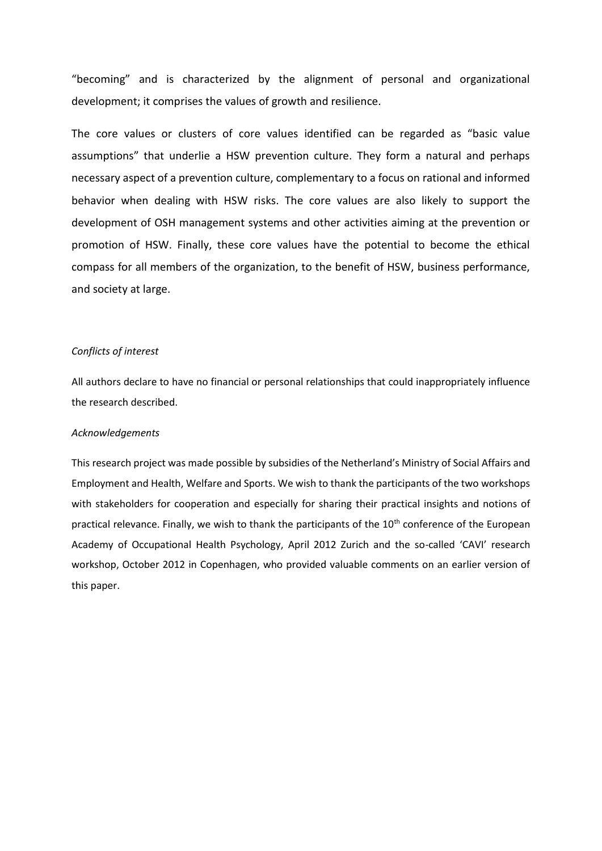"becoming" and is characterized by the alignment of personal and organizational development; it comprises the values of growth and resilience.

The core values or clusters of core values identified can be regarded as "basic value assumptions" that underlie a HSW prevention culture. They form a natural and perhaps necessary aspect of a prevention culture, complementary to a focus on rational and informed behavior when dealing with HSW risks. The core values are also likely to support the development of OSH management systems and other activities aiming at the prevention or promotion of HSW. Finally, these core values have the potential to become the ethical compass for all members of the organization, to the benefit of HSW, business performance, and society at large.

### *Conflicts of interest*

All authors declare to have no financial or personal relationships that could inappropriately influence the research described.

#### *Acknowledgements*

This research project was made possible by subsidies of the Netherland's Ministry of Social Affairs and Employment and Health, Welfare and Sports. We wish to thank the participants of the two workshops with stakeholders for cooperation and especially for sharing their practical insights and notions of practical relevance. Finally, we wish to thank the participants of the 10<sup>th</sup> conference of the European Academy of Occupational Health Psychology, April 2012 Zurich and the so-called 'CAVI' research workshop, October 2012 in Copenhagen, who provided valuable comments on an earlier version of this paper.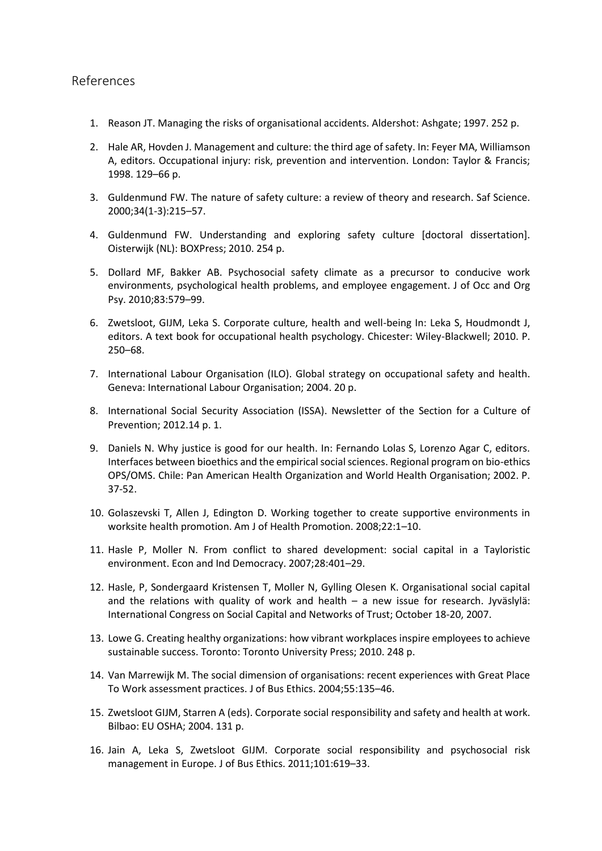# References

- 1. Reason JT. Managing the risks of organisational accidents. Aldershot: Ashgate; 1997. 252 p.
- 2. Hale AR, Hovden J. Management and culture: the third age of safety. In: Feyer MA, Williamson A, editors. Occupational injury: risk, prevention and intervention. London: Taylor & Francis; 1998. 129–66 p.
- 3. Guldenmund FW. The nature of safety culture: a review of theory and research. Saf Science. 2000;34(1-3):215–57.
- 4. Guldenmund FW. Understanding and exploring safety culture [doctoral dissertation]. Oisterwijk (NL): BOXPress; 2010. 254 p.
- 5. Dollard MF, Bakker AB. Psychosocial safety climate as a precursor to conducive work environments, psychological health problems, and employee engagement. J of Occ and Org Psy. 2010;83:579–99.
- 6. Zwetsloot, GIJM, Leka S. Corporate culture, health and well-being In: Leka S, Houdmondt J, editors. A text book for occupational health psychology. Chicester: Wiley-Blackwell; 2010. P. 250–68.
- 7. International Labour Organisation (ILO). Global strategy on occupational safety and health. Geneva: International Labour Organisation; 2004. 20 p.
- 8. International Social Security Association (ISSA). Newsletter of the Section for a Culture of Prevention; 2012.14 p. 1.
- 9. Daniels N. Why justice is good for our health. In: Fernando Lolas S, Lorenzo Agar C, editors. Interfaces between bioethics and the empirical social sciences. Regional program on bio-ethics OPS/OMS. Chile: Pan American Health Organization and World Health Organisation; 2002. P. 37-52.
- 10. Golaszevski T, Allen J, Edington D. Working together to create supportive environments in worksite health promotion. Am J of Health Promotion. 2008;22:1–10.
- 11. Hasle P, Moller N. From conflict to shared development: social capital in a Tayloristic environment. Econ and Ind Democracy. 2007;28:401–29.
- 12. Hasle, P, Sondergaard Kristensen T, Moller N, Gylling Olesen K. Organisational social capital and the relations with quality of work and health – a new issue for research. Jyväslylä: International Congress on Social Capital and Networks of Trust; October 18-20, 2007.
- 13. Lowe G. Creating healthy organizations: how vibrant workplaces inspire employees to achieve sustainable success. Toronto: Toronto University Press; 2010. 248 p.
- 14. Van Marrewijk M. The social dimension of organisations: recent experiences with Great Place To Work assessment practices. J of Bus Ethics. 2004;55:135–46.
- 15. Zwetsloot GIJM, Starren A (eds). Corporate social responsibility and safety and health at work. Bilbao: EU OSHA; 2004. 131 p.
- 16. Jain A, Leka S, Zwetsloot GIJM. Corporate social responsibility and psychosocial risk management in Europe. J of Bus Ethics. 2011;101:619–33.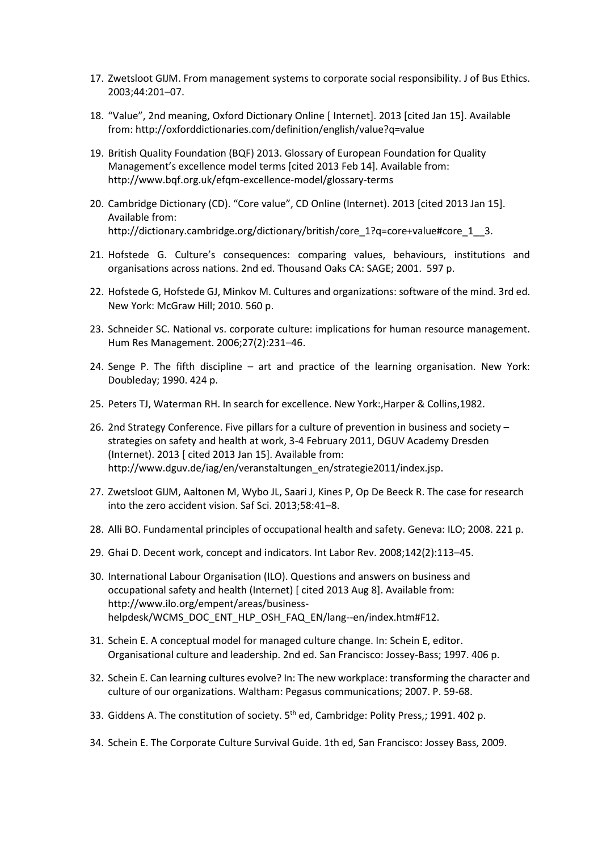- 17. Zwetsloot GIJM. From management systems to corporate social responsibility. J of Bus Ethics. 2003;44:201–07.
- 18. "Value", 2nd meaning, Oxford Dictionary Online [ Internet]. 2013 [cited Jan 15]. Available from: http://oxforddictionaries.com/definition/english/value?q=value
- 19. British Quality Foundation (BQF) 2013. Glossary of European Foundation for Quality Management's excellence model terms [cited 2013 Feb 14]. Available from: http://www.bqf.org.uk/efqm-excellence-model/glossary-terms
- 20. Cambridge Dictionary (CD). "Core value", CD Online (Internet). 2013 [cited 2013 Jan 15]. Available from: http://dictionary.cambridge.org/dictionary/british/core\_1?q=core+value#core\_1\_\_3.
- 21. Hofstede G. Culture's consequences: comparing values, behaviours, institutions and organisations across nations. 2nd ed. Thousand Oaks CA: SAGE; 2001. 597 p.
- 22. Hofstede G, Hofstede GJ, Minkov M. Cultures and organizations: software of the mind. 3rd ed. New York: McGraw Hill; 2010. 560 p.
- 23. Schneider SC. National vs. corporate culture: implications for human resource management. Hum Res Management. 2006;27(2):231–46.
- 24. Senge P. The fifth discipline art and practice of the learning organisation. New York: Doubleday; 1990. 424 p.
- 25. Peters TJ, Waterman RH. In search for excellence. New York:,Harper & Collins,1982.
- 26. 2nd Strategy Conference. Five pillars for a culture of prevention in business and society strategies on safety and health at work, 3-4 February 2011, DGUV Academy Dresden (Internet). 2013 [ cited 2013 Jan 15]. Available from: http://www.dguv.de/iag/en/veranstaltungen\_en/strategie2011/index.jsp.
- 27. Zwetsloot GIJM, Aaltonen M, Wybo JL, Saari J, Kines P, Op De Beeck R. The case for research into the zero accident vision. Saf Sci. 2013;58:41–8.
- 28. Alli BO. Fundamental principles of occupational health and safety. Geneva: ILO; 2008. 221 p.
- 29. Ghai D. Decent work, concept and indicators. Int Labor Rev. 2008;142(2):113–45.
- 30. International Labour Organisation (ILO). Questions and answers on business and occupational safety and health (Internet) [ cited 2013 Aug 8]. Available from: http://www.ilo.org/empent/areas/businesshelpdesk/WCMS\_DOC\_ENT\_HLP\_OSH\_FAQ\_EN/lang--en/index.htm#F12.
- 31. Schein E. A conceptual model for managed culture change. In: Schein E, editor. Organisational culture and leadership. 2nd ed. San Francisco: Jossey-Bass; 1997. 406 p.
- 32. Schein E. Can learning cultures evolve? In: The new workplace: transforming the character and culture of our organizations. Waltham: Pegasus communications; 2007. P. 59-68.
- 33. Giddens A. The constitution of society. 5<sup>th</sup> ed, Cambridge: Polity Press,; 1991. 402 p.
- 34. Schein E. The Corporate Culture Survival Guide. 1th ed, San Francisco: Jossey Bass, 2009.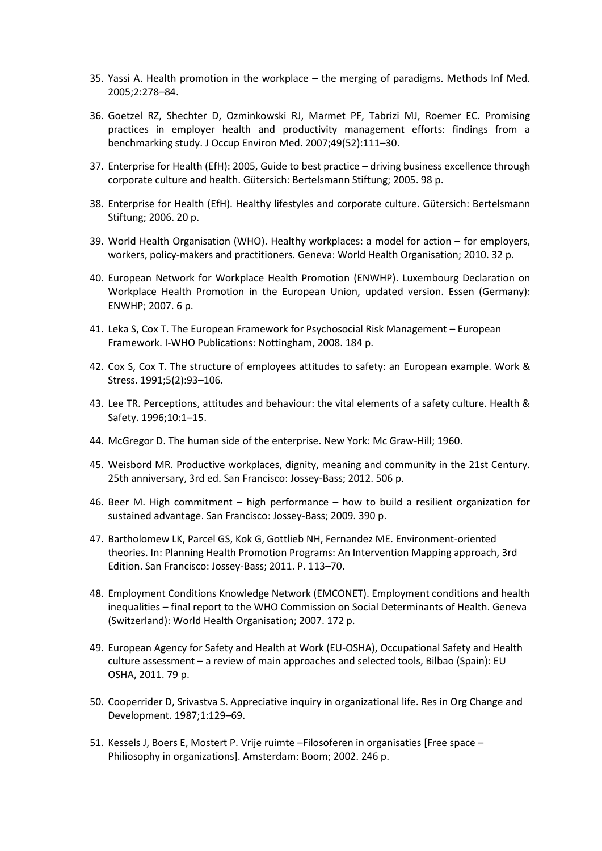- 35. Yassi A. Health promotion in the workplace the merging of paradigms. Methods Inf Med. 2005;2:278–84.
- 36. Goetzel RZ, Shechter D, Ozminkowski RJ, Marmet PF, Tabrizi MJ, Roemer EC. Promising practices in employer health and productivity management efforts: findings from a benchmarking study. J Occup Environ Med. 2007;49(52):111–30.
- 37. Enterprise for Health (EfH): 2005, Guide to best practice driving business excellence through corporate culture and health. Gütersich: Bertelsmann Stiftung; 2005. 98 p.
- 38. Enterprise for Health (EfH). Healthy lifestyles and corporate culture. Gütersich: Bertelsmann Stiftung; 2006. 20 p.
- 39. World Health Organisation (WHO). Healthy workplaces: a model for action for employers, workers, policy-makers and practitioners. Geneva: World Health Organisation; 2010. 32 p.
- 40. European Network for Workplace Health Promotion (ENWHP). Luxembourg Declaration on Workplace Health Promotion in the European Union, updated version. Essen (Germany): ENWHP; 2007. 6 p.
- 41. Leka S, Cox T. The European Framework for Psychosocial Risk Management European Framework. I-WHO Publications: Nottingham, 2008. 184 p.
- 42. Cox S, Cox T. The structure of employees attitudes to safety: an European example. Work & Stress. 1991;5(2):93–106.
- 43. Lee TR. Perceptions, attitudes and behaviour: the vital elements of a safety culture. Health & Safety. 1996;10:1–15.
- 44. McGregor D. The human side of the enterprise. New York: Mc Graw-Hill; 1960.
- 45. Weisbord MR. Productive workplaces, dignity, meaning and community in the 21st Century. 25th anniversary, 3rd ed. San Francisco: Jossey-Bass; 2012. 506 p.
- 46. Beer M. High commitment high performance how to build a resilient organization for sustained advantage. San Francisco: Jossey-Bass; 2009. 390 p.
- 47. Bartholomew LK, Parcel GS, Kok G, Gottlieb NH, Fernandez ME. Environment-oriented theories. In: Planning Health Promotion Programs: An Intervention Mapping approach, 3rd Edition. San Francisco: Jossey-Bass; 2011. P. 113–70.
- 48. Employment Conditions Knowledge Network (EMCONET). Employment conditions and health inequalities – final report to the WHO Commission on Social Determinants of Health. Geneva (Switzerland): World Health Organisation; 2007. 172 p.
- 49. European Agency for Safety and Health at Work (EU-OSHA), Occupational Safety and Health culture assessment – a review of main approaches and selected tools, Bilbao (Spain): EU OSHA, 2011. 79 p.
- 50. Cooperrider D, Srivastva S. Appreciative inquiry in organizational life. Res in Org Change and Development. 1987;1:129–69.
- 51. Kessels J, Boers E, Mostert P. Vrije ruimte –Filosoferen in organisaties [Free space Philiosophy in organizations]. Amsterdam: Boom; 2002. 246 p.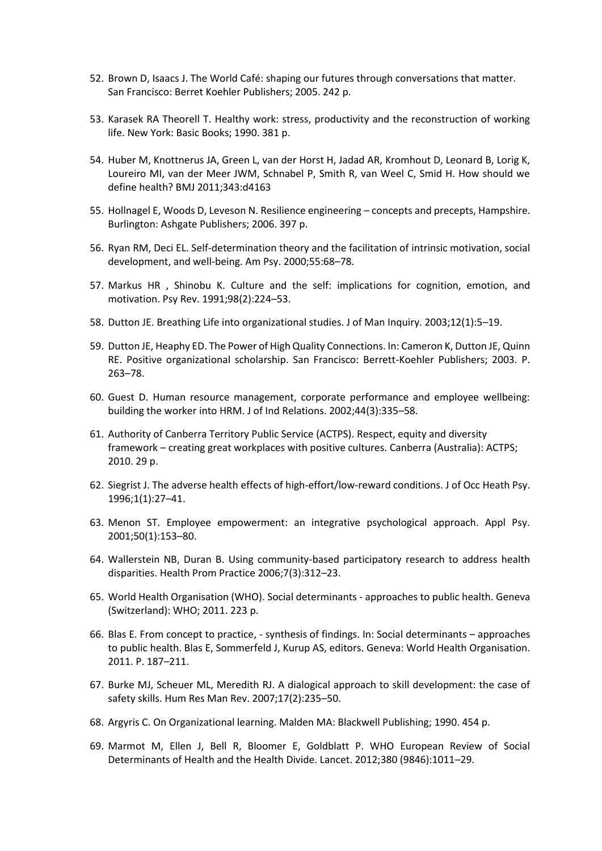- 52. Brown D, Isaacs J. The World Café: shaping our futures through conversations that matter. San Francisco: Berret Koehler Publishers; 2005. 242 p.
- 53. Karasek RA Theorell T. Healthy work: stress, productivity and the reconstruction of working life. New York: Basic Books; 1990. 381 p.
- 54. Huber M, Knottnerus JA, Green L, van der Horst H, Jadad AR, Kromhout D, Leonard B, Lorig K, Loureiro MI, van der Meer JWM, Schnabel P, Smith R, van Weel C, Smid H. How should we define health? BMJ 2011;343:d4163
- 55. Hollnagel E, Woods D, Leveson N. Resilience engineering concepts and precepts, Hampshire. Burlington: Ashgate Publishers; 2006. 397 p.
- 56. Ryan RM, Deci EL. Self-determination theory and the facilitation of intrinsic motivation, social development, and well-being. Am Psy. 2000;55:68–78.
- 57. Markus HR , Shinobu K. Culture and the self: implications for cognition, emotion, and motivation. Psy Rev. 1991;98(2):224–53.
- 58. Dutton JE. Breathing Life into organizational studies. J of Man Inquiry. 2003;12(1):5–19.
- 59. Dutton JE, Heaphy ED. The Power of High Quality Connections. In: Cameron K, Dutton JE, Quinn RE. Positive organizational scholarship. San Francisco: Berrett-Koehler Publishers; 2003. P. 263–78.
- 60. Guest D. Human resource management, corporate performance and employee wellbeing: building the worker into HRM. J of Ind Relations. 2002;44(3):335–58.
- 61. Authority of Canberra Territory Public Service (ACTPS). Respect, equity and diversity framework – creating great workplaces with positive cultures. Canberra (Australia): ACTPS; 2010. 29 p.
- 62. Siegrist J. The adverse health effects of high-effort/low-reward conditions. J of Occ Heath Psy. 1996;1(1):27–41.
- 63. Menon ST. Employee empowerment: an integrative psychological approach. Appl Psy. 2001;50(1):153–80.
- 64. Wallerstein NB, Duran B. Using community-based participatory research to address health disparities. Health Prom Practice 2006;7(3):312–23.
- 65. World Health Organisation (WHO). Social determinants approaches to public health. Geneva (Switzerland): WHO; 2011. 223 p.
- 66. Blas E. From concept to practice, synthesis of findings. In: Social determinants approaches to public health. Blas E, Sommerfeld J, Kurup AS, editors. Geneva: World Health Organisation. 2011. P. 187–211.
- 67. Burke MJ, Scheuer ML, Meredith RJ. A dialogical approach to skill development: the case of safety skills. Hum Res Man Rev. 2007;17(2):235–50.
- 68. Argyris C. On Organizational learning. Malden MA: Blackwell Publishing; 1990. 454 p.
- 69. Marmot M, Ellen J, Bell R, Bloomer E, Goldblatt P. WHO European Review of Social Determinants of Health and the Health Divide. Lancet. 2012;380 (9846):1011–29.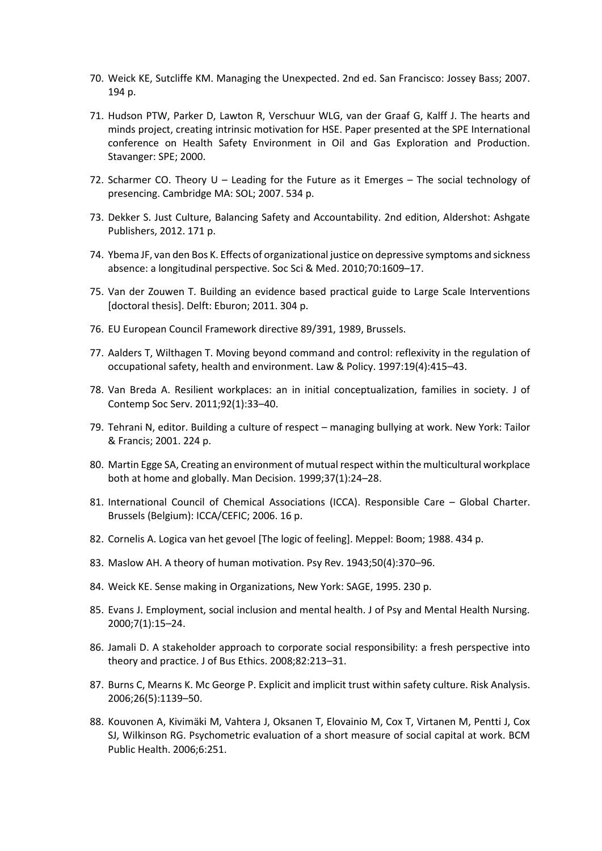- 70. Weick KE, Sutcliffe KM. Managing the Unexpected. 2nd ed. San Francisco: Jossey Bass; 2007. 194 p.
- 71. Hudson PTW, Parker D, Lawton R, Verschuur WLG, van der Graaf G, Kalff J. The hearts and minds project, creating intrinsic motivation for HSE. Paper presented at the SPE International conference on Health Safety Environment in Oil and Gas Exploration and Production. Stavanger: SPE; 2000.
- 72. Scharmer CO. Theory  $U -$  Leading for the Future as it Emerges  $-$  The social technology of presencing. Cambridge MA: SOL; 2007. 534 p.
- 73. Dekker S. Just Culture, Balancing Safety and Accountability. 2nd edition, Aldershot: Ashgate Publishers, 2012. 171 p.
- 74. Ybema JF, van den Bos K. Effects of organizational justice on depressive symptoms and sickness absence: a longitudinal perspective. Soc Sci & Med. 2010;70:1609–17.
- 75. Van der Zouwen T. Building an evidence based practical guide to Large Scale Interventions [doctoral thesis]. Delft: Eburon; 2011. 304 p.
- 76. EU European Council Framework directive 89/391, 1989, Brussels.
- 77. Aalders T, Wilthagen T. Moving beyond command and control: reflexivity in the regulation of occupational safety, health and environment. Law & Policy. 1997:19(4):415–43.
- 78. Van Breda A. Resilient workplaces: an in initial conceptualization, families in society. J of Contemp Soc Serv. 2011;92(1):33–40.
- 79. Tehrani N, editor. Building a culture of respect managing bullying at work. New York: Tailor & Francis; 2001. 224 p.
- 80. Martin Egge SA, Creating an environment of mutual respect within the multicultural workplace both at home and globally. Man Decision. 1999;37(1):24–28.
- 81. International Council of Chemical Associations (ICCA). Responsible Care Global Charter. Brussels (Belgium): ICCA/CEFIC; 2006. 16 p.
- 82. Cornelis A. Logica van het gevoel [The logic of feeling]. Meppel: Boom; 1988. 434 p.
- 83. Maslow AH. A theory of human motivation. Psy Rev. 1943;50(4):370–96.
- 84. Weick KE. Sense making in Organizations, New York: SAGE, 1995. 230 p.
- 85. Evans J. Employment, social inclusion and mental health. J of Psy and Mental Health Nursing. 2000;7(1):15–24.
- 86. Jamali D. A stakeholder approach to corporate social responsibility: a fresh perspective into theory and practice. J of Bus Ethics. 2008;82:213–31.
- 87. Burns C, Mearns K. Mc George P. Explicit and implicit trust within safety culture. Risk Analysis. 2006;26(5):1139–50.
- 88. Kouvonen A, Kivimäki M, Vahtera J, Oksanen T, Elovainio M, Cox T, Virtanen M, Pentti J, Cox SJ, Wilkinson RG. Psychometric evaluation of a short measure of social capital at work. BCM Public Health. 2006;6:251.